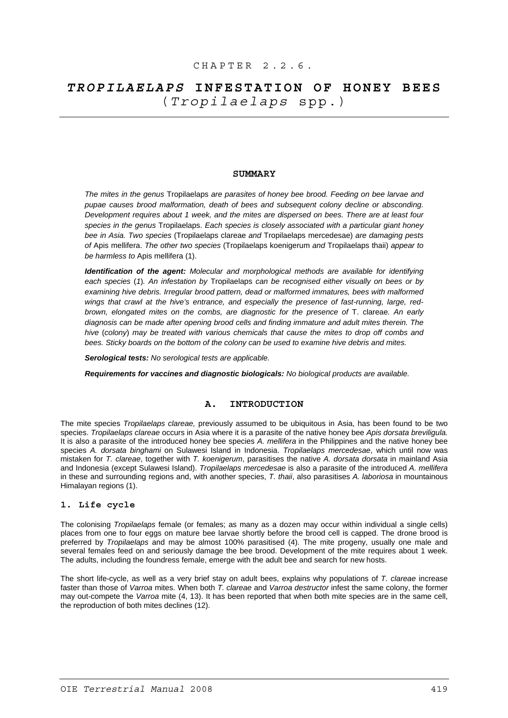# *TROPILAELAPS* **INFESTATION OF HONEY BEES**  (*Tropilaelaps* spp.)

# **SUMMARY**

*The mites in the genus* Tropilaelaps *are parasites of honey bee brood. Feeding on bee larvae and pupae causes brood malformation, death of bees and subsequent colony decline or absconding. Development requires about 1 week, and the mites are dispersed on bees. There are at least four species in the genus* Tropilaelaps. *Each species is closely associated with a particular giant honey bee in Asia. Two species* (Tropilaelaps clareae *and* Tropilaelaps mercedesae) *are damaging pests of* Apis mellifera. *The other two species* (Tropilaelaps koenigerum *and* Tropilaelaps thaii) *appear to be harmless to* Apis mellifera (1).

*Identification of the agent: Molecular and morphological methods are available for identifying each species* (*1*)*. An infestation by* Tropilaelaps *can be recognised either visually on bees or by examining hive debris. Irregular brood pattern, dead or malformed immatures, bees with malformed wings that crawl at the hive's entrance, and especially the presence of fast-running, large, redbrown, elongated mites on the combs, are diagnostic for the presence of* T. clareae*. An early diagnosis can be made after opening brood cells and finding immature and adult mites therein. The hive* (*colony*) *may be treated with various chemicals that cause the mites to drop off combs and bees. Sticky boards on the bottom of the colony can be used to examine hive debris and mites.* 

*Serological tests: No serological tests are applicable.* 

*Requirements for vaccines and diagnostic biologicals: No biological products are available.* 

### **A. INTRODUCTION**

The mite species *Tropilaelaps clareae,* previously assumed to be ubiquitous in Asia, has been found to be two species. *Tropilaelaps clareae* occurs in Asia where it is a parasite of the native honey bee *Apis dorsata breviligula.*  It is also a parasite of the introduced honey bee species *A. mellifera* in the Philippines and the native honey bee species *A. dorsata binghami* on Sulawesi Island in Indonesia. *Tropilaelaps mercedesae*, which until now was mistaken for *T. clareae*, together with *T. koenigerum*, parasitises the native *A. dorsata dorsata* in mainland Asia and Indonesia (except Sulawesi Island). *Tropilaelaps mercedesae* is also a parasite of the introduced *A. mellifera* in these and surrounding regions and, with another species, *T. thaii*, also parasitises *A. laboriosa* in mountainous Himalayan regions (1).

## **1. Life cycle**

The colonising *Tropilaelaps* female (or females; as many as a dozen may occur within individual a single cells) places from one to four eggs on mature bee larvae shortly before the brood cell is capped. The drone brood is preferred by *Tropilaelaps* and may be almost 100% parasitised (4). The mite progeny, usually one male and several females feed on and seriously damage the bee brood. Development of the mite requires about 1 week. The adults, including the foundress female, emerge with the adult bee and search for new hosts.

The short life-cycle, as well as a very brief stay on adult bees, explains why populations of *T. clareae* increase faster than those of *Varroa* mites. When both *T. clareae* and *Varroa destructor* infest the same colony, the former may out-compete the *Varroa* mite (4, 13). It has been reported that when both mite species are in the same cell, the reproduction of both mites declines (12).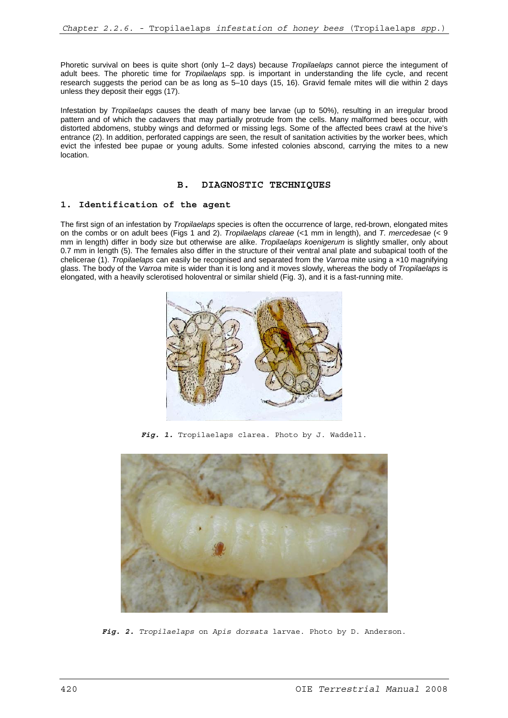Phoretic survival on bees is quite short (only 1–2 days) because *Tropilaelaps* cannot pierce the integument of adult bees. The phoretic time for *Tropilaelaps* spp. is important in understanding the life cycle, and recent research suggests the period can be as long as 5–10 days (15, 16). Gravid female mites will die within 2 days unless they deposit their eggs (17).

Infestation by *Tropilaelaps* causes the death of many bee larvae (up to 50%), resulting in an irregular brood pattern and of which the cadavers that may partially protrude from the cells. Many malformed bees occur, with distorted abdomens, stubby wings and deformed or missing legs. Some of the affected bees crawl at the hive's entrance (2). In addition, perforated cappings are seen, the result of sanitation activities by the worker bees, which evict the infested bee pupae or young adults. Some infested colonies abscond, carrying the mites to a new location.

# **B. DIAGNOSTIC TECHNIQUES**

## **1. Identification of the agent**

The first sign of an infestation by *Tropilaelaps* species is often the occurrence of large, red-brown, elongated mites on the combs or on adult bees (Figs 1 and 2). *Tropilaelaps clareae* (<1 mm in length), and *T. mercedesae* (< 9 mm in length) differ in body size but otherwise are alike. *Tropilaelaps koenigerum* is slightly smaller, only about 0.7 mm in length (5). The females also differ in the structure of their ventral anal plate and subapical tooth of the chelicerae (1). *Tropilaelaps* can easily be recognised and separated from the *Varroa* mite using a ×10 magnifying glass. The body of the *Varroa* mite is wider than it is long and it moves slowly, whereas the body of *Tropilaelaps* is elongated, with a heavily sclerotised holoventral or similar shield (Fig. 3), and it is a fast-running mite.



Fig. 1. Tropilaelaps clarea. Photo by J. Waddell.



*Fig. 2. Tropilaelaps* on *Apis dorsata* larvae. Photo by D. Anderson.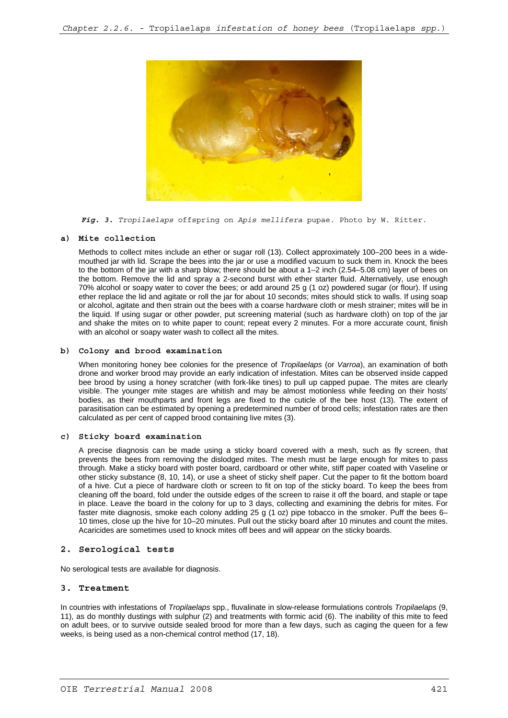

*Fig. 3. Tropilaelaps* offspring on *Apis mellifera* pupae. Photo by W. Ritter.

## **a) Mite collection**

Methods to collect mites include an ether or sugar roll (13). Collect approximately 100–200 bees in a widemouthed jar with lid. Scrape the bees into the jar or use a modified vacuum to suck them in. Knock the bees to the bottom of the jar with a sharp blow; there should be about a 1–2 inch (2.54–5.08 cm) layer of bees on the bottom. Remove the lid and spray a 2-second burst with ether starter fluid. Alternatively, use enough 70% alcohol or soapy water to cover the bees; or add around 25 g (1 oz) powdered sugar (or flour). If using ether replace the lid and agitate or roll the jar for about 10 seconds; mites should stick to walls. If using soap or alcohol, agitate and then strain out the bees with a coarse hardware cloth or mesh strainer; mites will be in the liquid. If using sugar or other powder, put screening material (such as hardware cloth) on top of the jar and shake the mites on to white paper to count; repeat every 2 minutes. For a more accurate count, finish with an alcohol or soapy water wash to collect all the mites.

## **b) Colony and brood examination**

When monitoring honey bee colonies for the presence of *Tropilaelaps* (or *Varroa*), an examination of both drone and worker brood may provide an early indication of infestation. Mites can be observed inside capped bee brood by using a honey scratcher (with fork-like tines) to pull up capped pupae. The mites are clearly visible. The younger mite stages are whitish and may be almost motionless while feeding on their hosts' bodies, as their mouthparts and front legs are fixed to the cuticle of the bee host (13). The extent of parasitisation can be estimated by opening a predetermined number of brood cells; infestation rates are then calculated as per cent of capped brood containing live mites (3).

### **c) Sticky board examination**

A precise diagnosis can be made using a sticky board covered with a mesh, such as fly screen, that prevents the bees from removing the dislodged mites. The mesh must be large enough for mites to pass through. Make a sticky board with poster board, cardboard or other white, stiff paper coated with Vaseline or other sticky substance (8, 10, 14), or use a sheet of sticky shelf paper. Cut the paper to fit the bottom board of a hive. Cut a piece of hardware cloth or screen to fit on top of the sticky board. To keep the bees from cleaning off the board, fold under the outside edges of the screen to raise it off the board, and staple or tape in place. Leave the board in the colony for up to 3 days, collecting and examining the debris for mites. For faster mite diagnosis, smoke each colony adding 25 g (1 oz) pipe tobacco in the smoker. Puff the bees 6– 10 times, close up the hive for 10–20 minutes. Pull out the sticky board after 10 minutes and count the mites. Acaricides are sometimes used to knock mites off bees and will appear on the sticky boards.

## **2. Serological tests**

No serological tests are available for diagnosis.

### **3. Treatment**

In countries with infestations of *Tropilaelaps* spp., fluvalinate in slow-release formulations controls *Tropilaelaps* (9, 11), as do monthly dustings with sulphur (2) and treatments with formic acid (6). The inability of this mite to feed on adult bees, or to survive outside sealed brood for more than a few days, such as caging the queen for a few weeks, is being used as a non-chemical control method (17, 18).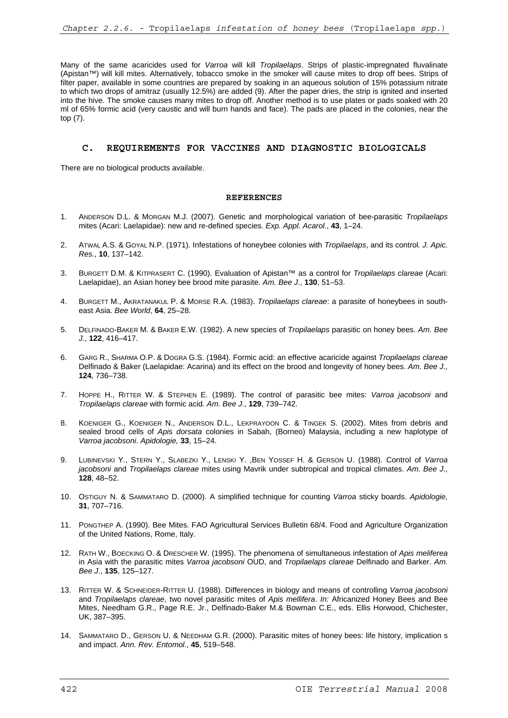Many of the same acaricides used for *Varroa* will kill *Tropilaelaps*. Strips of plastic-impregnated fluvalinate (Apistan™) will kill mites. Alternatively, tobacco smoke in the smoker will cause mites to drop off bees. Strips of filter paper, available in some countries are prepared by soaking in an aqueous solution of 15% potassium nitrate to which two drops of amitraz (usually 12.5%) are added (9). After the paper dries, the strip is ignited and inserted into the hive. The smoke causes many mites to drop off. Another method is to use plates or pads soaked with 20 ml of 65% formic acid (very caustic and will burn hands and face). The pads are placed in the colonies, near the top (7).

# **C. REQUIREMENTS FOR VACCINES AND DIAGNOSTIC BIOLOGICALS**

There are no biological products available.

### **REFERENCES**

- 1. ANDERSON D.L. & MORGAN M.J. (2007). Genetic and morphological variation of bee-parasitic *Tropilaelaps* mites (Acari: Laelapidae): new and re-defined species. *Exp. Appl. Acarol.*, **43**, 1–24.
- 2. ATWAL A.S. & GOYAL N.P. (1971). Infestations of honeybee colonies with *Tropilaelaps*, and its control*. J. Apic. Res*., **10**, 137–142.
- 3. BURGETT D.M. & KITPRASERT C. (1990). Evaluation of Apistan™ as a control for *Tropilaelaps clareae* (Acari: Laelapidae), an Asian honey bee brood mite parasite. *Am. Bee J*., **130**, 51–53.
- 4. BURGETT M., AKRATANAKUL P. & MORSE R.A. (1983). *Tropilaelaps clareae*: a parasite of honeybees in southeast Asia. *Bee World*, **64**, 25–28.
- 5. DELFINADO-BAKER M. & BAKER E.W. (1982). A new species of *Tropilaelaps* parasitic on honey bees. *Am. Bee J*., **122**, 416–417.
- 6. GARG R., SHARMA O.P. & DOGRA G.S. (1984). Formic acid: an effective acaricide against *Tropilaelaps clareae* Delfinado & Baker (Laelapidae: Acarina) and its effect on the brood and longevity of honey bees. *Am. Bee J.,* **124**, 736–738.
- 7. HOPPE H., RITTER W. & STEPHEN E. (1989). The control of parasitic bee mites: *Varroa jacobsoni* and *Tropilaelaps clareae* with formic acid*. Am. Bee J*., **129**, 739–742.
- 8. KOENIGER G., KOENIGER N., ANDERSON D.L., LEKPRAYOON C. & TINGEK S. (2002). Mites from debris and sealed brood cells of *Apis dorsata* colonies in Sabah, (Borneo) Malaysia, including a new haplotype of *Varroa jacobsoni*. *Apidologie,* **33**, 15–24.
- 9. LUBINEVSKI Y., STERN Y., SLABEZKI Y., LENSKI Y. ,BEN YOSSEF H. & GERSON U. (1988). Control of *Varroa jacobsoni* and *Tropilaelaps clareae* mites using Mavrik under subtropical and tropical climates. *Am. Bee J.,* **128**, 48–52.
- 10. OSTIGUY N. & SAMMATARO D. (2000). A simplified technique for counting *Varroa* sticky boards. *Apidologie,* **31**, 707–716.
- 11. PONGTHEP A. (1990). Bee Mites. FAO Agricultural Services Bulletin 68/4. Food and Agriculture Organization of the United Nations, Rome, Italy.
- 12. RATH W., BOECKING O. & DRESCHER W. (1995). The phenomena of simultaneous infestation of *Apis meliferea* in Asia with the parasitic mites *Varroa jacobsoni* OUD, and *Tropilaelaps clareae* Delfinado and Barker. *Am. Bee J*., **135**, 125–127.
- 13. RITTER W. & SCHNEIDER-RITTER U. (1988). Differences in biology and means of controlling *Varroa jacobsoni* and *Tropilaelaps clareae*, two novel parasitic mites of *Apis mellifera*. *In:* Africanized Honey Bees and Bee Mites, Needham G.R., Page R.E. Jr., Delfinado-Baker M.& Bowman C.E., eds. Ellis Horwood, Chichester, UK, 387–395.
- 14. SAMMATARO D., GERSON U. & NEEDHAM G.R. (2000). Parasitic mites of honey bees: life history, implication s and impact. *Ann. Rev. Entomol*., **45**, 519–548.